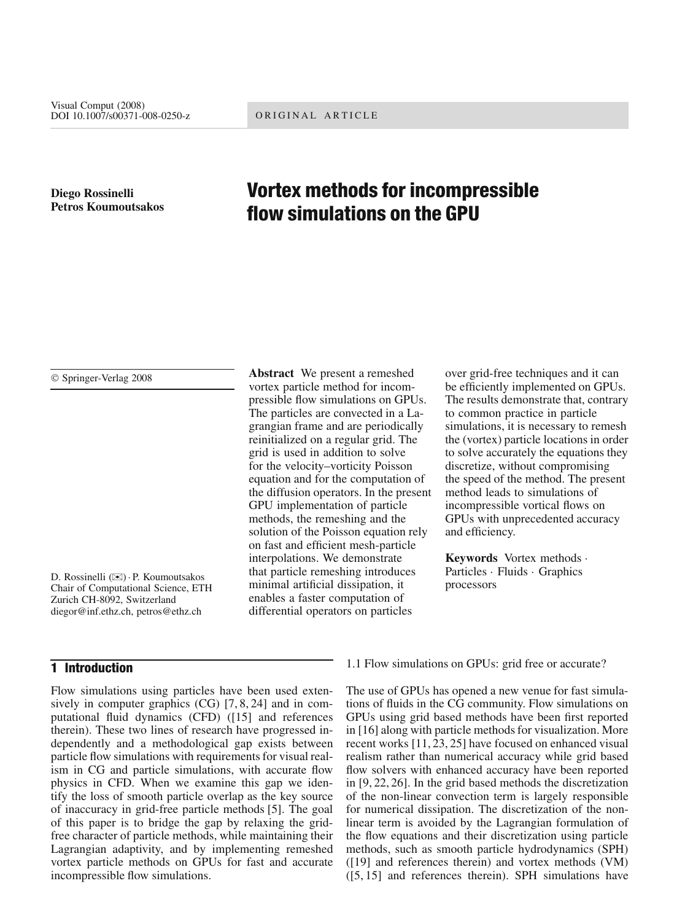**Diego Rossinelli Petros Koumoutsakos**

# **Vortex methods for incompressible flow simulations on the GPU**

|  |  | © Springer-Verlag 2008 |  |  |  |
|--|--|------------------------|--|--|--|
|--|--|------------------------|--|--|--|

D. Rossinelli (✉)· P. Koumoutsakos Chair of Computational Science, ETH Zurich CH-8092, Switzerland diegor@inf.ethz.ch, petros@ethz.ch

# **1 Introduction**

Flow simulations using particles have been used extensively in computer graphics (CG) [7, 8, 24] and in computational fluid dynamics (CFD) ([15] and references therein). These two lines of research have progressed independently and a methodological gap exists between particle flow simulations with requirements for visual realism in CG and particle simulations, with accurate flow physics in CFD. When we examine this gap we identify the loss of smooth particle overlap as the key source of inaccuracy in grid-free particle methods [5]. The goal of this paper is to bridge the gap by relaxing the gridfree character of particle methods, while maintaining their Lagrangian adaptivity, and by implementing remeshed vortex particle methods on GPUs for fast and accurate incompressible flow simulations.

**Abstract** We present a remeshed vortex particle method for incompressible flow simulations on GPUs. The particles are convected in a Lagrangian frame and are periodically reinitialized on a regular grid. The grid is used in addition to solve for the velocity–vorticity Poisson equation and for the computation of the diffusion operators. In the present GPU implementation of particle methods, the remeshing and the solution of the Poisson equation rely on fast and efficient mesh-particle interpolations. We demonstrate that particle remeshing introduces minimal artificial dissipation, it enables a faster computation of differential operators on particles

over grid-free techniques and it can be efficiently implemented on GPUs. The results demonstrate that, contrary to common practice in particle simulations, it is necessary to remesh the (vortex) particle locations in order to solve accurately the equations they discretize, without compromising the speed of the method. The present method leads to simulations of incompressible vortical flows on GPUs with unprecedented accuracy and efficiency.

**Keywords** Vortex methods · Particles · Fluids · Graphics processors

## 1.1 Flow simulations on GPUs: grid free or accurate?

The use of GPUs has opened a new venue for fast simulations of fluids in the CG community. Flow simulations on GPUs using grid based methods have been first reported in [16] along with particle methods for visualization. More recent works [11, 23, 25] have focused on enhanced visual realism rather than numerical accuracy while grid based flow solvers with enhanced accuracy have been reported in [9, 22, 26]. In the grid based methods the discretization of the non-linear convection term is largely responsible for numerical dissipation. The discretization of the nonlinear term is avoided by the Lagrangian formulation of the flow equations and their discretization using particle methods, such as smooth particle hydrodynamics (SPH) ([19] and references therein) and vortex methods (VM) ([5, 15] and references therein). SPH simulations have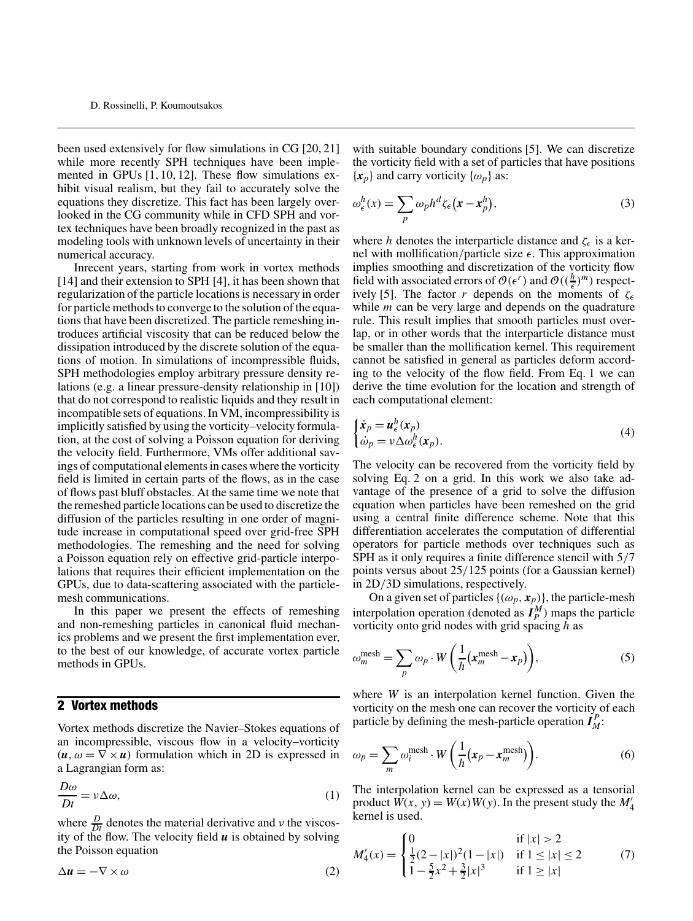#### D. Rossinelli, P. Koumoutsakos

been used extensively for flow simulations in CG [20, 21] while more recently SPH techniques have been implemented in GPUs [1, 10, 12]. These flow simulations exhibit visual realism, but they fail to accurately solve the equations they discretize. This fact has been largely overlooked in the CG community while in CFD SPH and vortex techniques have been broadly recognized in the past as modeling tools with unknown levels of uncertainty in their numerical accuracy.

Inrecent years, starting from work in vortex methods [14] and their extension to SPH [4], it has been shown that regularization of the particle locations is necessary in order for particle methods to converge to the solution of the equations that have been discretized. The particle remeshing introduces artificial viscosity that can be reduced below the dissipation introduced by the discrete solution of the equations of motion. In simulations of incompressible fluids, SPH methodologies employ arbitrary pressure density relations (e.g. a linear pressure-density relationship in [10]) that do not correspond to realistic liquids and they result in incompatible sets of equations. In VM, incompressibility is implicitly satisfied by using the vorticity–velocity formulation, at the cost of solving a Poisson equation for deriving the velocity field. Furthermore, VMs offer additional savings of computational elements in cases where the vorticity field is limited in certain parts of the flows, as in the case of flows past bluff obstacles. At the same time we note that the remeshed particle locations can be used to discretize the diffusion of the particles resulting in one order of magnitude increase in computational speed over grid-free SPH methodologies. The remeshing and the need for solving a Poisson equation rely on effective grid-particle interpolations that requires their efficient implementation on the GPUs, due to data-scattering associated with the particlemesh communications.

In this paper we present the effects of remeshing and non-remeshing particles in canonical fluid mechanics problems and we present the first implementation ever, to the best of our knowledge, of accurate vortex particle methods in GPUs.

## **2 Vortex methods**

Vortex methods discretize the Navier–Stokes equations of an incompressible, viscous flow in a velocity–vorticity  $(\mathbf{u}, \omega = \nabla \times \mathbf{u})$  formulation which in 2D is expressed in a Lagrangian form as:

$$
\frac{D\omega}{Dt} = v\Delta\omega,\tag{1}
$$

where  $\frac{D}{Dt}$  denotes the material derivative and v the viscosity of the flow. The velocity field *u* is obtained by solving the Poisson equation

$$
\Delta u = -\nabla \times \omega \tag{2}
$$

with suitable boundary conditions [5]. We can discretize the vorticity field with a set of particles that have positions  ${x<sub>p</sub>}$  and carry vorticity  ${\omega<sub>p</sub>}$  as:

$$
\omega_{\epsilon}^{h}(x) = \sum_{p} \omega_{p} h^{d} \zeta_{\epsilon} (x - x_{p}^{h}), \qquad (3)
$$

where *h* denotes the interparticle distance and  $\zeta_{\epsilon}$  is a kernel with mollification/particle size  $\epsilon$ . This approximation implies smoothing and discretization of the vorticity flow field with associated errors of  $\mathcal{O}(\epsilon^r)$  and  $\mathcal{O}((\frac{h}{\epsilon})^m)$  respectively [5]. The factor *r* depends on the moments of  $\zeta_c$ while *m* can be very large and depends on the quadrature rule. This result implies that smooth particles must overlap, or in other words that the interparticle distance must be smaller than the mollification kernel. This requirement cannot be satisfied in general as particles deform according to the velocity of the flow field. From Eq. 1 we can derive the time evolution for the location and strength of each computational element:

$$
\begin{cases} \dot{\mathbf{x}}_p = \mathbf{u}_{\epsilon}^h(\mathbf{x}_p) \\ \dot{\omega}_p = v \Delta \omega_{\epsilon}^h(\mathbf{x}_p). \end{cases} \tag{4}
$$

The velocity can be recovered from the vorticity field by solving Eq. 2 on a grid. In this work we also take advantage of the presence of a grid to solve the diffusion equation when particles have been remeshed on the grid using a central finite difference scheme. Note that this differentiation accelerates the computation of differential operators for particle methods over techniques such as SPH as it only requires a finite difference stencil with 5/7 points versus about 25/125 points (for a Gaussian kernel) in 2D/3D simulations, respectively.

On a given set of particles  $\{(\omega_p, x_p)\}\$ , the particle-mesh interpolation operation (denoted as  $I_P^M$ ) maps the particle vorticity onto grid nodes with grid spacing *h* as

$$
\omega_m^{\text{mesh}} = \sum_p \omega_p \cdot W\left(\frac{1}{h} \left(\mathbf{x}_m^{\text{mesh}} - \mathbf{x}_p\right)\right),\tag{5}
$$

where *W* is an interpolation kernel function. Given the vorticity on the mesh one can recover the vorticity of each particle by defining the mesh-particle operation  $I_M^P$ :

$$
\omega_p = \sum_m \omega_i^{\text{mesh}} \cdot W\left(\frac{1}{h}\left(\mathbf{x}_p - \mathbf{x}_m^{\text{mesh}}\right)\right). \tag{6}
$$

The interpolation kernel can be expressed as a tensorial product  $\hat{W}(x, y) = W(x)W(y)$ . In the present study the  $M'_4$ kernel is used.

$$
M_4'(x) = \begin{cases} 0 & \text{if } |x| > 2\\ \frac{1}{2}(2 - |x|)^2 (1 - |x|) & \text{if } 1 \le |x| \le 2\\ 1 - \frac{5}{2}x^2 + \frac{3}{2}|x|^3 & \text{if } 1 \ge |x| \end{cases} \tag{7}
$$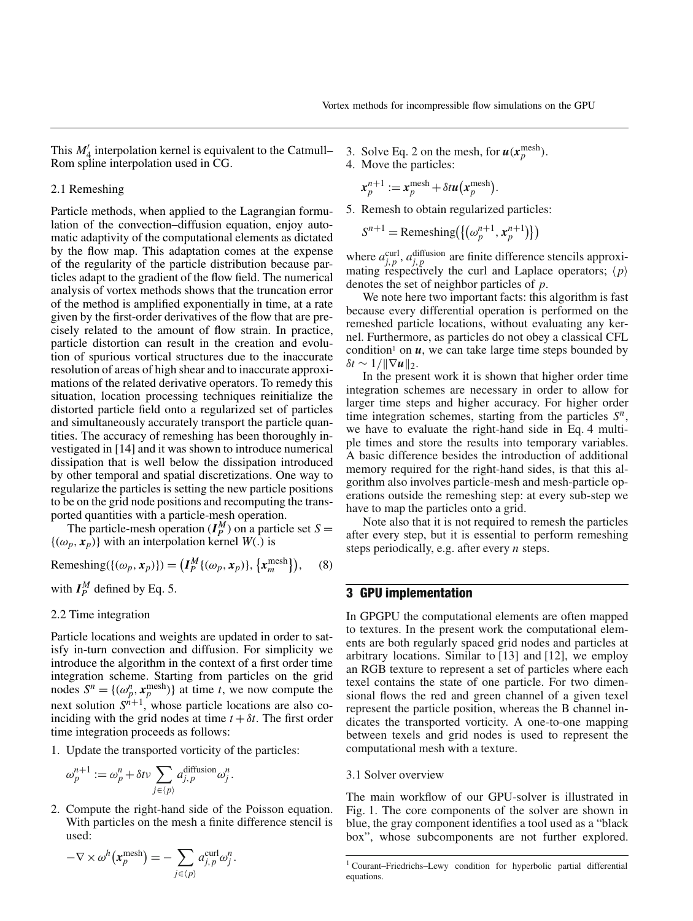This  $M'_4$  interpolation kernel is equivalent to the Catmull– Rom spline interpolation used in CG.

## 2.1 Remeshing

Particle methods, when applied to the Lagrangian formulation of the convection–diffusion equation, enjoy automatic adaptivity of the computational elements as dictated by the flow map. This adaptation comes at the expense of the regularity of the particle distribution because particles adapt to the gradient of the flow field. The numerical analysis of vortex methods shows that the truncation error of the method is amplified exponentially in time, at a rate given by the first-order derivatives of the flow that are precisely related to the amount of flow strain. In practice, particle distortion can result in the creation and evolution of spurious vortical structures due to the inaccurate resolution of areas of high shear and to inaccurate approximations of the related derivative operators. To remedy this situation, location processing techniques reinitialize the distorted particle field onto a regularized set of particles and simultaneously accurately transport the particle quantities. The accuracy of remeshing has been thoroughly investigated in [14] and it was shown to introduce numerical dissipation that is well below the dissipation introduced by other temporal and spatial discretizations. One way to regularize the particles is setting the new particle positions to be on the grid node positions and recomputing the transported quantities with a particle-mesh operation.

The particle-mesh operation  $(I_P^M)$  on a particle set  $S =$  $\{(\omega_p, x_p)\}\$  with an interpolation kernel *W*(.) is

$$
\text{Remeshing}(\{(\omega_p, \mathbf{x}_p)\}) = \left(I_P^M\{(\omega_p, \mathbf{x}_p)\}, \{ \mathbf{x}_m^{\text{mesh}}\}\right), \quad (8)
$$

with  $I_P^M$  defined by Eq. 5.

## 2.2 Time integration

Particle locations and weights are updated in order to satisfy in-turn convection and diffusion. For simplicity we introduce the algorithm in the context of a first order time integration scheme. Starting from particles on the grid nodes  $S^n = \{(\omega_p^n, x_p^{\text{mesh}})\}\$ at time *t*, we now compute the next solution  $S^{n+1}$ , whose particle locations are also coinciding with the grid nodes at time  $t + \delta t$ . The first order time integration proceeds as follows:

1. Update the transported vorticity of the particles:

$$
\omega_p^{n+1} := \omega_p^n + \delta t \nu \sum_{j \in \langle p \rangle} a_{j,p}^{\text{diffusion}} \omega_j^n.
$$

2. Compute the right-hand side of the Poisson equation. With particles on the mesh a finite difference stencil is used:

$$
-\nabla \times \omega^h(\mathbf{x}_p^{\text{mesh}}) = -\sum_{j \in \langle p \rangle} a_{j,p}^{\text{curl}} \omega_j^n.
$$

- 3. Solve Eq. 2 on the mesh, for  $u(x_p^{\text{mesh}})$ .
- 4. Move the particles:

$$
x_p^{n+1} := x_p^{\text{mesh}} + \delta t \mathbf{u} \big( x_p^{\text{mesh}} \big).
$$

5. Remesh to obtain regularized particles:

$$
S^{n+1} = \text{Remeshing}(\{(\omega_p^{n+1}, x_p^{n+1})\})
$$

where  $a_{j,p}^{\text{curl}}$ ,  $a_{j,p}^{\text{diffusion}}$  are finite difference stencils approximating respectively the curl and Laplace operators;  $\langle p \rangle$ denotes the set of neighbor particles of *p*.

We note here two important facts: this algorithm is fast because every differential operation is performed on the remeshed particle locations, without evaluating any kernel. Furthermore, as particles do not obey a classical CFL condition<sup>1</sup> on  $u$ , we can take large time steps bounded by  $\delta t \sim 1/\|\nabla u\|_2$ .

In the present work it is shown that higher order time integration schemes are necessary in order to allow for larger time steps and higher accuracy. For higher order time integration schemes, starting from the particles *Sn*, we have to evaluate the right-hand side in Eq. 4 multiple times and store the results into temporary variables. A basic difference besides the introduction of additional memory required for the right-hand sides, is that this algorithm also involves particle-mesh and mesh-particle operations outside the remeshing step: at every sub-step we have to map the particles onto a grid.

Note also that it is not required to remesh the particles after every step, but it is essential to perform remeshing steps periodically, e.g. after every *n* steps.

## **3 GPU implementation**

In GPGPU the computational elements are often mapped to textures. In the present work the computational elements are both regularly spaced grid nodes and particles at arbitrary locations. Similar to [13] and [12], we employ an RGB texture to represent a set of particles where each texel contains the state of one particle. For two dimensional flows the red and green channel of a given texel represent the particle position, whereas the B channel indicates the transported vorticity. A one-to-one mapping between texels and grid nodes is used to represent the computational mesh with a texture.

#### 3.1 Solver overview

The main workflow of our GPU-solver is illustrated in Fig. 1. The core components of the solver are shown in blue, the gray component identifies a tool used as a "black box", whose subcomponents are not further explored.

<sup>1</sup> Courant–Friedrichs–Lewy condition for hyperbolic partial differential equations.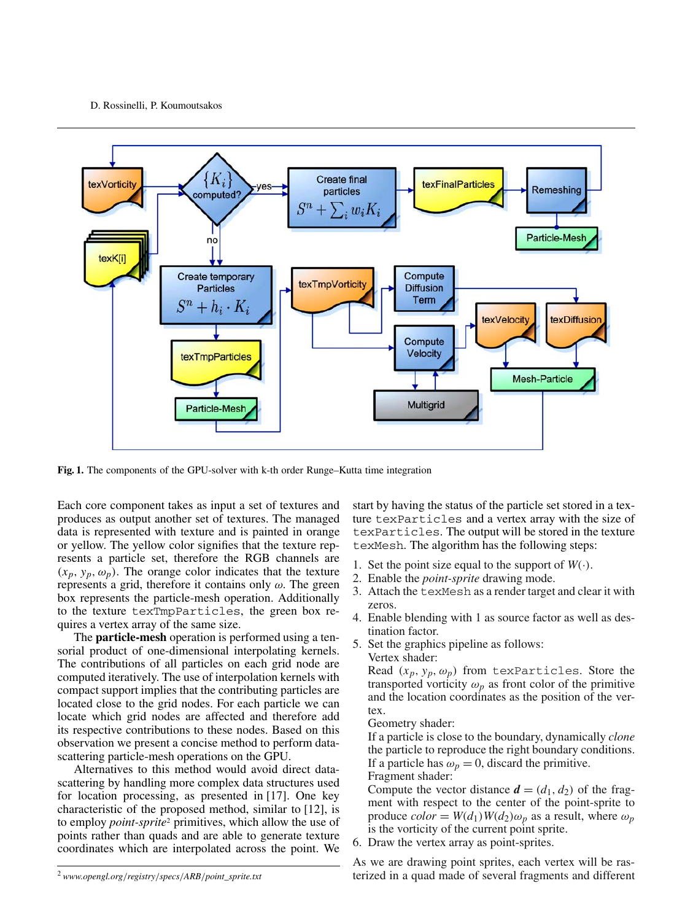

**Fig. 1.** The components of the GPU-solver with k-th order Runge–Kutta time integration

Each core component takes as input a set of textures and produces as output another set of textures. The managed data is represented with texture and is painted in orange or yellow. The yellow color signifies that the texture represents a particle set, therefore the RGB channels are  $(x_p, y_p, \omega_p)$ . The orange color indicates that the texture represents a grid, therefore it contains only  $\omega$ . The green box represents the particle-mesh operation. Additionally to the texture texTmpParticles, the green box requires a vertex array of the same size.

The **particle-mesh** operation is performed using a tensorial product of one-dimensional interpolating kernels. The contributions of all particles on each grid node are computed iteratively. The use of interpolation kernels with compact support implies that the contributing particles are located close to the grid nodes. For each particle we can locate which grid nodes are affected and therefore add its respective contributions to these nodes. Based on this observation we present a concise method to perform datascattering particle-mesh operations on the GPU.

Alternatives to this method would avoid direct datascattering by handling more complex data structures used for location processing, as presented in [17]. One key characteristic of the proposed method, similar to [12], is to employ *point-sprite*<sup>2</sup> primitives, which allow the use of points rather than quads and are able to generate texture coordinates which are interpolated across the point. We start by having the status of the particle set stored in a texture texParticles and a vertex array with the size of texParticles. The output will be stored in the texture texMesh. The algorithm has the following steps:

- 1. Set the point size equal to the support of  $W(\cdot)$ .
- 2. Enable the *point-sprite* drawing mode.
- 3. Attach the texMesh as a render target and clear it with zeros.
- 4. Enable blending with 1 as source factor as well as destination factor.
- 5. Set the graphics pipeline as follows:

Vertex shader:

Read  $(x_p, y_p, \omega_p)$  from texParticles. Store the transported vorticity  $\omega_p$  as front color of the primitive and the location coordinates as the position of the vertex.

Geometry shader:

If a particle is close to the boundary, dynamically *clone* the particle to reproduce the right boundary conditions. If a particle has  $\omega_p = 0$ , discard the primitive.

Fragment shader:

Compute the vector distance  $\mathbf{d} = (d_1, d_2)$  of the fragment with respect to the center of the point-sprite to produce  $color = W(d_1)W(d_2)\omega_p$  as a result, where  $\omega_p$ is the vorticity of the current point sprite.

6. Draw the vertex array as point-sprites.

As we are drawing point sprites, each vertex will be rasterized in a quad made of several fragments and different

<sup>2</sup> *www.opengl.org*/*registry*/*specs*/*ARB*/*point\_sprite.txt*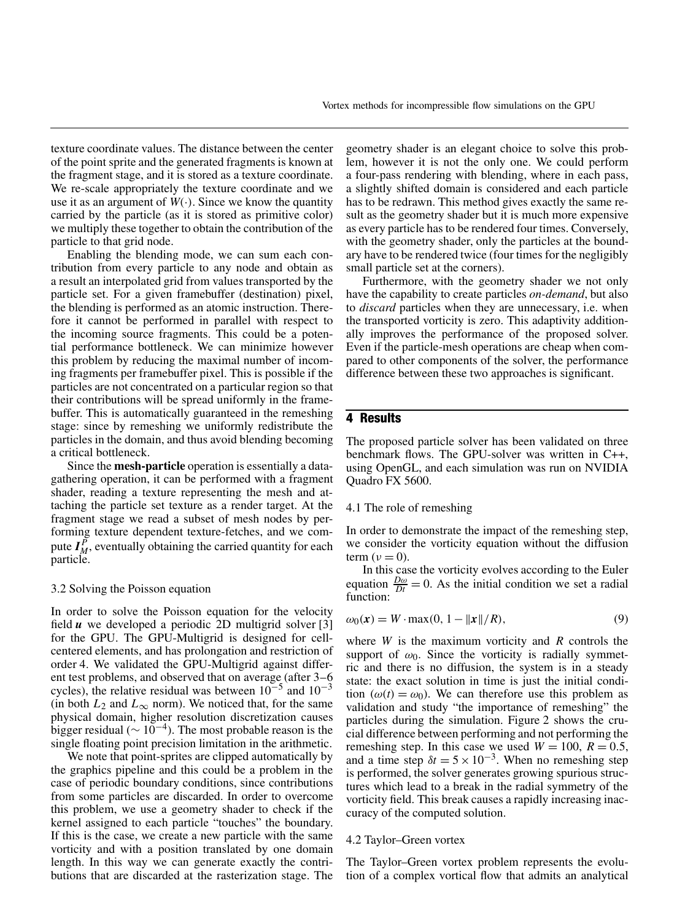texture coordinate values. The distance between the center of the point sprite and the generated fragments is known at the fragment stage, and it is stored as a texture coordinate. We re-scale appropriately the texture coordinate and we use it as an argument of  $W(\cdot)$ . Since we know the quantity carried by the particle (as it is stored as primitive color) we multiply these together to obtain the contribution of the particle to that grid node.

Enabling the blending mode, we can sum each contribution from every particle to any node and obtain as a result an interpolated grid from values transported by the particle set. For a given framebuffer (destination) pixel, the blending is performed as an atomic instruction. Therefore it cannot be performed in parallel with respect to the incoming source fragments. This could be a potential performance bottleneck. We can minimize however this problem by reducing the maximal number of incoming fragments per framebuffer pixel. This is possible if the particles are not concentrated on a particular region so that their contributions will be spread uniformly in the framebuffer. This is automatically guaranteed in the remeshing stage: since by remeshing we uniformly redistribute the particles in the domain, and thus avoid blending becoming a critical bottleneck.

Since the **mesh-particle** operation is essentially a datagathering operation, it can be performed with a fragment shader, reading a texture representing the mesh and attaching the particle set texture as a render target. At the fragment stage we read a subset of mesh nodes by performing texture dependent texture-fetches, and we compute  $I_M^P$ , eventually obtaining the carried quantity for each particle.

## 3.2 Solving the Poisson equation

In order to solve the Poisson equation for the velocity field *u* we developed a periodic 2D multigrid solver [3] for the GPU. The GPU-Multigrid is designed for cellcentered elements, and has prolongation and restriction of order 4. We validated the GPU-Multigrid against different test problems, and observed that on average (after 3–6 cycles), the relative residual was between  $10^{-5}$  and  $10^{-3}$ (in both  $L_2$  and  $L_{\infty}$  norm). We noticed that, for the same physical domain, higher resolution discretization causes bigger residual ( $\sim 10^{-4}$ ). The most probable reason is the single floating point precision limitation in the arithmetic.

We note that point-sprites are clipped automatically by the graphics pipeline and this could be a problem in the case of periodic boundary conditions, since contributions from some particles are discarded. In order to overcome this problem, we use a geometry shader to check if the kernel assigned to each particle "touches" the boundary. If this is the case, we create a new particle with the same vorticity and with a position translated by one domain length. In this way we can generate exactly the contributions that are discarded at the rasterization stage. The

geometry shader is an elegant choice to solve this problem, however it is not the only one. We could perform a four-pass rendering with blending, where in each pass, a slightly shifted domain is considered and each particle has to be redrawn. This method gives exactly the same result as the geometry shader but it is much more expensive as every particle has to be rendered four times. Conversely, with the geometry shader, only the particles at the boundary have to be rendered twice (four times for the negligibly small particle set at the corners).

Furthermore, with the geometry shader we not only have the capability to create particles *on-demand*, but also to *discard* particles when they are unnecessary, i.e. when the transported vorticity is zero. This adaptivity additionally improves the performance of the proposed solver. Even if the particle-mesh operations are cheap when compared to other components of the solver, the performance difference between these two approaches is significant.

## **4 Results**

The proposed particle solver has been validated on three benchmark flows. The GPU-solver was written in C++, using OpenGL, and each simulation was run on NVIDIA Quadro FX 5600.

#### 4.1 The role of remeshing

In order to demonstrate the impact of the remeshing step, we consider the vorticity equation without the diffusion term  $(\nu = 0)$ .

In this case the vorticity evolves according to the Euler equation  $\frac{D\omega}{Dt} = 0$ . As the initial condition we set a radial function:

$$
\omega_0(\mathbf{x}) = W \cdot \max(0, 1 - ||\mathbf{x}|| / R), \tag{9}
$$

where *W* is the maximum vorticity and *R* controls the support of  $\omega_0$ . Since the vorticity is radially symmetric and there is no diffusion, the system is in a steady state: the exact solution in time is just the initial condition  $(\omega(t) = \omega_0)$ . We can therefore use this problem as validation and study "the importance of remeshing" the particles during the simulation. Figure 2 shows the crucial difference between performing and not performing the remeshing step. In this case we used  $W = 100$ ,  $R = 0.5$ , and a time step  $\delta t = 5 \times 10^{-3}$ . When no remeshing step is performed, the solver generates growing spurious structures which lead to a break in the radial symmetry of the vorticity field. This break causes a rapidly increasing inaccuracy of the computed solution.

#### 4.2 Taylor–Green vortex

The Taylor–Green vortex problem represents the evolution of a complex vortical flow that admits an analytical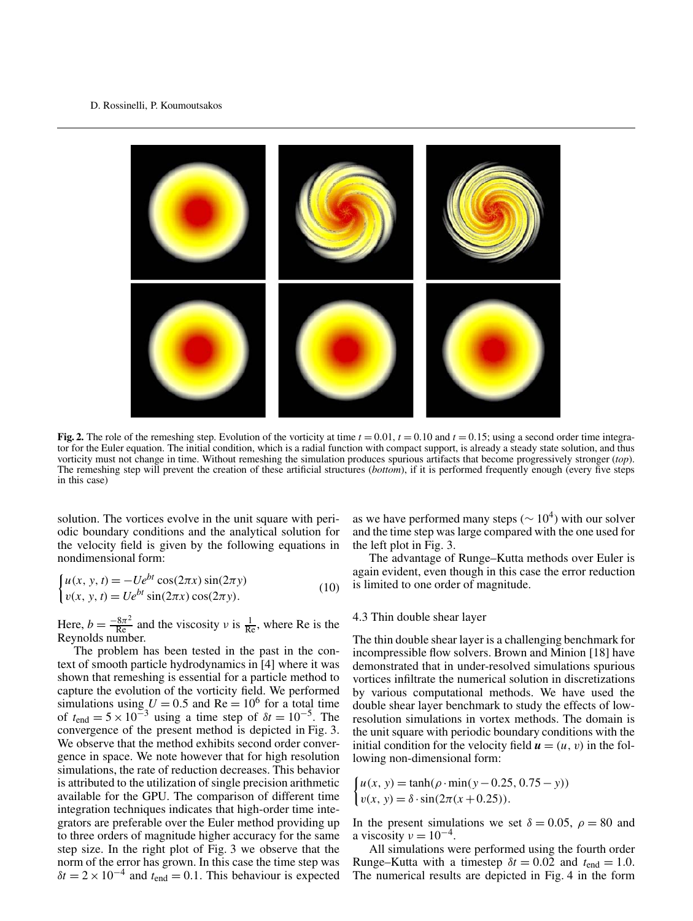

**Fig. 2.** The role of the remeshing step. Evolution of the vorticity at time  $t = 0.01$ ,  $t = 0.10$  and  $t = 0.15$ ; using a second order time integrator for the Euler equation. The initial condition, which is a radial function with compact support, is already a steady state solution, and thus vorticity must not change in time. Without remeshing the simulation produces spurious artifacts that become progressively stronger (*top*). The remeshing step will prevent the creation of these artificial structures (*bottom*), if it is performed frequently enough (every five steps in this case)

solution. The vortices evolve in the unit square with periodic boundary conditions and the analytical solution for the velocity field is given by the following equations in nondimensional form:

$$
\begin{cases} u(x, y, t) = -Ue^{bt} \cos(2\pi x) \sin(2\pi y) \\ v(x, y, t) = Ue^{bt} \sin(2\pi x) \cos(2\pi y). \end{cases}
$$
(10)

Here,  $b = \frac{-8\pi^2}{Re}$  and the viscosity v is  $\frac{1}{Re}$ , where Re is the Reynolds number.

The problem has been tested in the past in the context of smooth particle hydrodynamics in [4] where it was shown that remeshing is essential for a particle method to capture the evolution of the vorticity field. We performed simulations using  $U = 0.5$  and Re = 10<sup>6</sup> for a total time of  $t_{\text{end}} = 5 \times 10^{-3}$  using a time step of  $\delta t = 10^{-5}$ . The convergence of the present method is depicted in Fig. 3. We observe that the method exhibits second order convergence in space. We note however that for high resolution simulations, the rate of reduction decreases. This behavior is attributed to the utilization of single precision arithmetic available for the GPU. The comparison of different time integration techniques indicates that high-order time integrators are preferable over the Euler method providing up to three orders of magnitude higher accuracy for the same step size. In the right plot of Fig. 3 we observe that the norm of the error has grown. In this case the time step was  $\delta t = 2 \times 10^{-4}$  and  $t_{\text{end}} = 0.1$ . This behaviour is expected as we have performed many steps ( $\sim 10^4$ ) with our solver and the time step was large compared with the one used for the left plot in Fig. 3.

The advantage of Runge–Kutta methods over Euler is again evident, even though in this case the error reduction is limited to one order of magnitude.

## 4.3 Thin double shear layer

The thin double shear layer is a challenging benchmark for incompressible flow solvers. Brown and Minion [18] have demonstrated that in under-resolved simulations spurious vortices infiltrate the numerical solution in discretizations by various computational methods. We have used the double shear layer benchmark to study the effects of lowresolution simulations in vortex methods. The domain is the unit square with periodic boundary conditions with the initial condition for the velocity field  $u = (u, v)$  in the following non-dimensional form:

 $\int u(x, y) = \tanh(\rho \cdot \min(y - 0.25, 0.75 - y))$  $v(x, y) = \delta \cdot \sin(2\pi(x + 0.25)).$ 

In the present simulations we set  $\delta = 0.05$ ,  $\rho = 80$  and a viscosity  $v = 10^{-4}$ .

All simulations were performed using the fourth order Runge–Kutta with a timestep  $\delta t = 0.02$  and  $t_{end} = 1.0$ . The numerical results are depicted in Fig. 4 in the form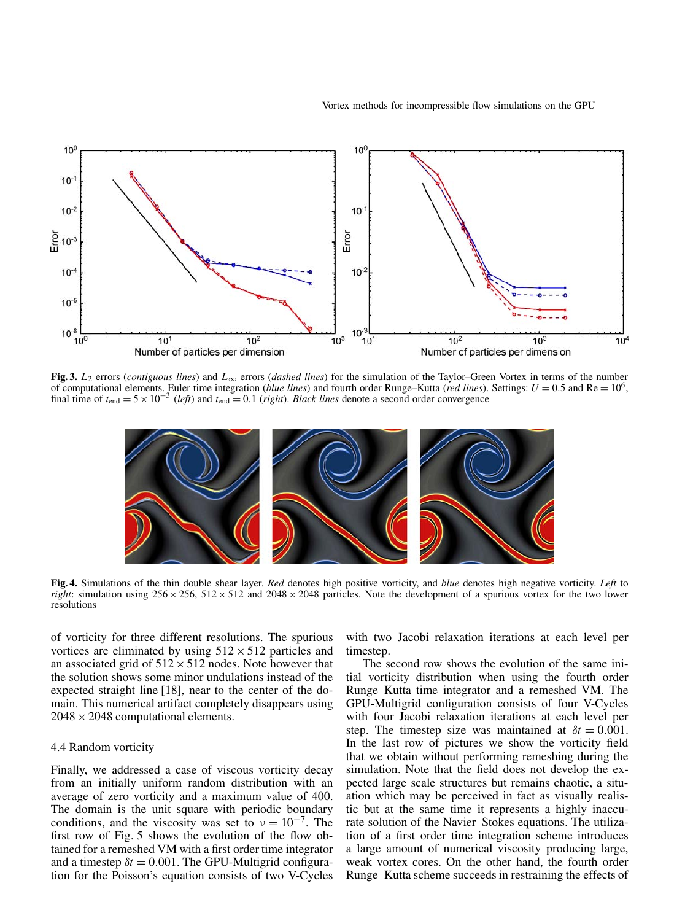

**Fig. 3.** *L*<sub>2</sub> errors (*contiguous lines*) and  $L_{\infty}$  errors (*dashed lines*) for the simulation of the Taylor–Green Vortex in terms of the number of computational elements. Euler time integration (*blue lines*) and fourth order Runge–Kutta (*red lines*). Settings: *U* = 0.5 and Re = 106, final time of  $t_{\text{end}} = 5 \times 10^{-3}$  (*left*) and  $t_{\text{end}} = 0.1$  (*right*). *Black lines* denote a second order convergence



**Fig. 4.** Simulations of the thin double shear layer. *Red* denotes high positive vorticity, and *blue* denotes high negative vorticity. *Left* to *right*: simulation using  $256 \times 256$ ,  $512 \times 512$  and  $2048 \times 2048$  particles. Note the development of a spurious vortex for the two lower resolutions

of vorticity for three different resolutions. The spurious vortices are eliminated by using  $512 \times 512$  particles and an associated grid of  $512 \times 512$  nodes. Note however that the solution shows some minor undulations instead of the expected straight line [18], near to the center of the domain. This numerical artifact completely disappears using  $2048 \times 2048$  computational elements.

## 4.4 Random vorticity

Finally, we addressed a case of viscous vorticity decay from an initially uniform random distribution with an average of zero vorticity and a maximum value of 400. The domain is the unit square with periodic boundary conditions, and the viscosity was set to  $v = 10^{-7}$ . The first row of Fig. 5 shows the evolution of the flow obtained for a remeshed VM with a first order time integrator and a timestep  $\delta t = 0.001$ . The GPU-Multigrid configuration for the Poisson's equation consists of two V-Cycles with two Jacobi relaxation iterations at each level per timestep.

The second row shows the evolution of the same initial vorticity distribution when using the fourth order Runge–Kutta time integrator and a remeshed VM. The GPU-Multigrid configuration consists of four V-Cycles with four Jacobi relaxation iterations at each level per step. The timestep size was maintained at  $\delta t = 0.001$ . In the last row of pictures we show the vorticity field that we obtain without performing remeshing during the simulation. Note that the field does not develop the expected large scale structures but remains chaotic, a situation which may be perceived in fact as visually realistic but at the same time it represents a highly inaccurate solution of the Navier–Stokes equations. The utilization of a first order time integration scheme introduces a large amount of numerical viscosity producing large, weak vortex cores. On the other hand, the fourth order Runge–Kutta scheme succeeds in restraining the effects of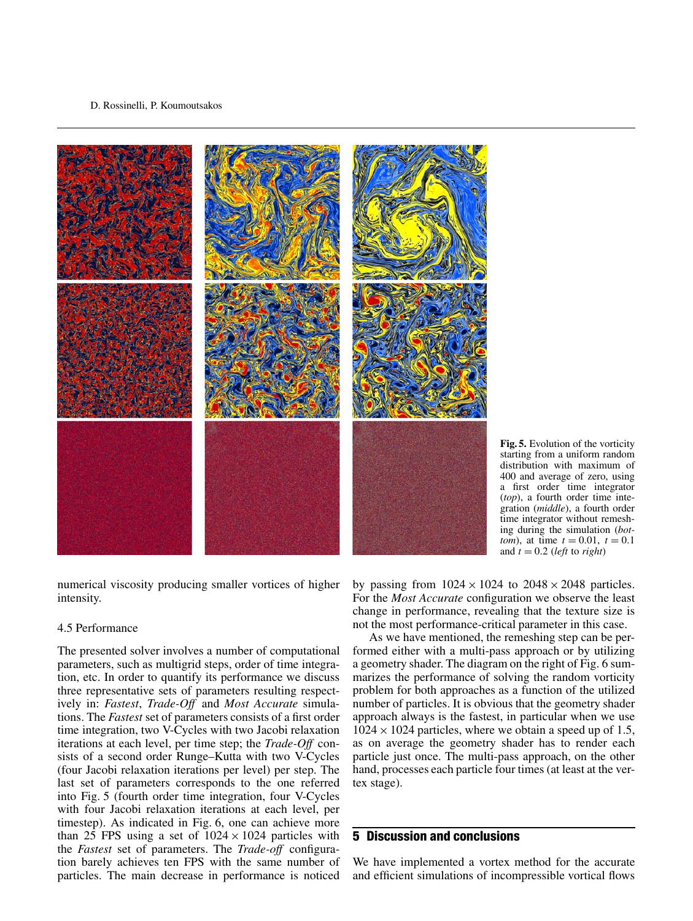D. Rossinelli, P. Koumoutsakos



**Fig. 5.** Evolution of the vorticity starting from a uniform random distribution with maximum of 400 and average of zero, using a first order time integrator (*top*), a fourth order time integration (*middle*), a fourth order time integrator without remeshing during the simulation (*bottom*), at time  $t = 0.01$ ,  $t = 0.1$ and  $t = 0.2$  (*left* to *right*)

numerical viscosity producing smaller vortices of higher intensity.

## 4.5 Performance

The presented solver involves a number of computational parameters, such as multigrid steps, order of time integration, etc. In order to quantify its performance we discuss three representative sets of parameters resulting respectively in: *Fastest*, *Trade-Off* and *Most Accurate* simulations. The *Fastest* set of parameters consists of a first order time integration, two V-Cycles with two Jacobi relaxation iterations at each level, per time step; the *Trade-Off* consists of a second order Runge–Kutta with two V-Cycles (four Jacobi relaxation iterations per level) per step. The last set of parameters corresponds to the one referred into Fig. 5 (fourth order time integration, four V-Cycles with four Jacobi relaxation iterations at each level, per timestep). As indicated in Fig. 6, one can achieve more than 25 FPS using a set of  $1024 \times 1024$  particles with the *Fastest* set of parameters. The *Trade-off* configuration barely achieves ten FPS with the same number of particles. The main decrease in performance is noticed by passing from  $1024 \times 1024$  to  $2048 \times 2048$  particles. For the *Most Accurate* configuration we observe the least change in performance, revealing that the texture size is not the most performance-critical parameter in this case.

As we have mentioned, the remeshing step can be performed either with a multi-pass approach or by utilizing a geometry shader. The diagram on the right of Fig. 6 summarizes the performance of solving the random vorticity problem for both approaches as a function of the utilized number of particles. It is obvious that the geometry shader approach always is the fastest, in particular when we use  $1024 \times 1024$  particles, where we obtain a speed up of 1.5, as on average the geometry shader has to render each particle just once. The multi-pass approach, on the other hand, processes each particle four times (at least at the vertex stage).

## **5 Discussion and conclusions**

We have implemented a vortex method for the accurate and efficient simulations of incompressible vortical flows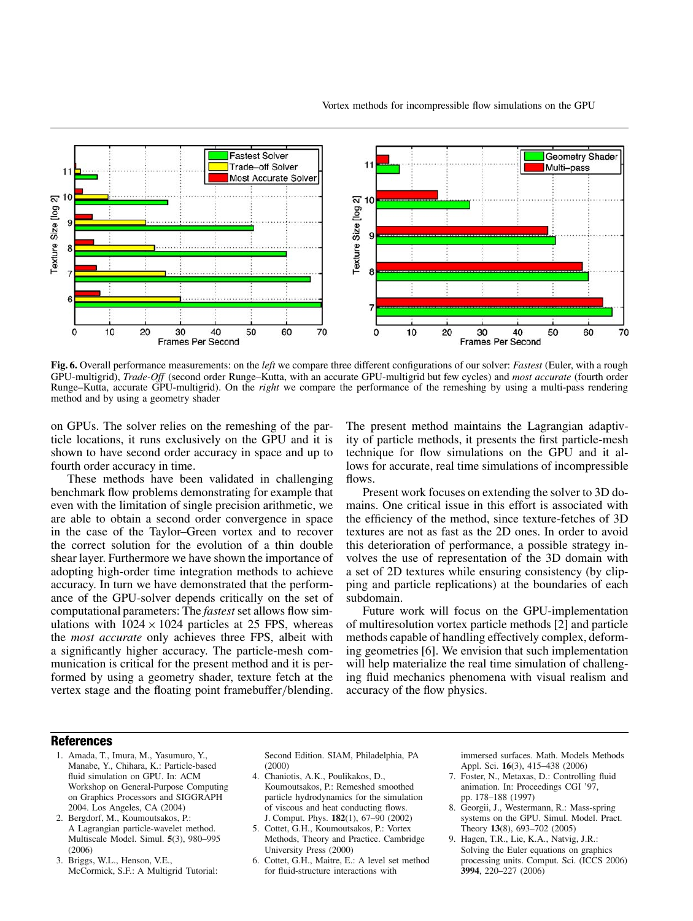

**Fig. 6.** Overall performance measurements: on the *left* we compare three different configurations of our solver: *Fastest* (Euler, with a rough GPU-multigrid), *Trade-Off* (second order Runge–Kutta, with an accurate GPU-multigrid but few cycles) and *most accurate* (fourth order Runge–Kutta, accurate GPU-multigrid). On the *right* we compare the performance of the remeshing by using a multi-pass rendering method and by using a geometry shader

on GPUs. The solver relies on the remeshing of the particle locations, it runs exclusively on the GPU and it is shown to have second order accuracy in space and up to fourth order accuracy in time.

These methods have been validated in challenging benchmark flow problems demonstrating for example that even with the limitation of single precision arithmetic, we are able to obtain a second order convergence in space in the case of the Taylor–Green vortex and to recover the correct solution for the evolution of a thin double shear layer. Furthermore we have shown the importance of adopting high-order time integration methods to achieve accuracy. In turn we have demonstrated that the performance of the GPU-solver depends critically on the set of computational parameters: The *fastest* set allows flow simulations with  $1024 \times 1024$  particles at 25 FPS, whereas the *most accurate* only achieves three FPS, albeit with a significantly higher accuracy. The particle-mesh communication is critical for the present method and it is performed by using a geometry shader, texture fetch at the vertex stage and the floating point framebuffer/blending.

The present method maintains the Lagrangian adaptivity of particle methods, it presents the first particle-mesh technique for flow simulations on the GPU and it allows for accurate, real time simulations of incompressible flows.

Present work focuses on extending the solver to 3D domains. One critical issue in this effort is associated with the efficiency of the method, since texture-fetches of 3D textures are not as fast as the 2D ones. In order to avoid this deterioration of performance, a possible strategy involves the use of representation of the 3D domain with a set of 2D textures while ensuring consistency (by clipping and particle replications) at the boundaries of each subdomain.

Future work will focus on the GPU-implementation of multiresolution vortex particle methods [2] and particle methods capable of handling effectively complex, deforming geometries [6]. We envision that such implementation will help materialize the real time simulation of challenging fluid mechanics phenomena with visual realism and accuracy of the flow physics.

## **References**

- 1. Amada, T., Imura, M., Yasumuro, Y., Manabe, Y., Chihara, K.: Particle-based fluid simulation on GPU. In: ACM Workshop on General-Purpose Computing on Graphics Processors and SIGGRAPH 2004. Los Angeles, CA (2004)
- 2. Bergdorf, M., Koumoutsakos, P.: A Lagrangian particle-wavelet method. Multiscale Model. Simul. **5**(3), 980–995 (2006)
- 3. Briggs, W.L., Henson, V.E., McCormick, S.F.: A Multigrid Tutorial:

Second Edition. SIAM, Philadelphia, PA (2000)

- 4. Chaniotis, A.K., Poulikakos, D., Koumoutsakos, P.: Remeshed smoothed particle hydrodynamics for the simulation of viscous and heat conducting flows. J. Comput. Phys. **182**(1), 67–90 (2002)
- 5. Cottet, G.H., Koumoutsakos, P.: Vortex Methods, Theory and Practice. Cambridge University Press (2000)
- 6. Cottet, G.H., Maitre, E.: A level set method for fluid-structure interactions with

immersed surfaces. Math. Models Methods Appl. Sci. **16**(3), 415–438 (2006)

- 7. Foster, N., Metaxas, D.: Controlling fluid animation. In: Proceedings CGI '97, pp. 178–188 (1997)
- 8. Georgii, J., Westermann, R.: Mass-spring systems on the GPU. Simul. Model. Pract. Theory **13**(8), 693–702 (2005)
- 9. Hagen, T.R., Lie, K.A., Natvig, J.R.: Solving the Euler equations on graphics processing units. Comput. Sci. (ICCS 2006) **3994**, 220–227 (2006)